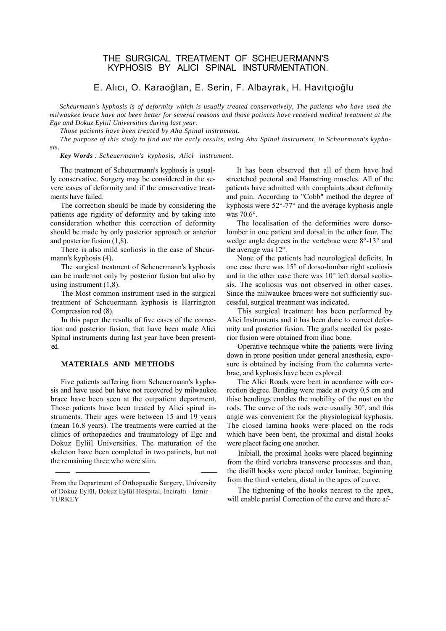## THE SURGICAL TREATMENT OF SCHEUERMANN'S KYPHOSIS BY ALICI SPINAL INSTURMENTATION.

# E. Alıcı, O. Karaoğlan, E. Serin, F. Albayrak, H. Havıtçıoğlu

*Scheurmann's kyphosis is of deformity which is usually treated conservatively, The patients who have used the milwaukee brace have not been better for several reasons and those patincts have received medical treatment at the Ege and Dokuz Eyliil Universities during last year.*

*Those patients have been treated by Aha Spinal instrument.*

*The purpose of this study to find out the early results, using Aha Spinal instrument, in Scheurmann's kyphosis.*

*Key Words : Scheuermann's kyphosis, Alici instrument.*

The treatment of Scheuermann's kyphosis is usually conservative. Surgery may be considered in the severe cases of deformity and if the conservative treatments have failed.

The correction should be made by considering the patients age rigidity of deformity and by taking into consideration whether this correction of deformity should be made by only posterior approach or anterior and posterior fusion (1,8).

There is also mild scoliosis in the case of Shcurmann's kyphosis (4).

The surgical treatment of Schcucrmann's kyphosis can be made not only by posterior fusion but also by using instrument (1,8).

The Most common instrument used in the surgical treatment of Schcuermann kyphosis is Harrington Compression rod (8).

In this paper the results of five cases of the correction and posterior fusion, that have been made Alici Spinal instruments during last year have been presented.

### **MATERIALS AND METHODS**

Five patients suffering from Schcucrmann's kyphosis and have used but have not recovered by milwaukee brace have been seen at the outpatient department. Those patients have been treated by Alici spinal instruments. Their ages were between 15 and 19 years (mean 16.8 years). The treatments were carried at the clinics of orthopaedics and traumatology of Egc and Dokuz Eyliil Universities. The maturation of the skeleton have been completed in two.patinets, but not the remaining three who were slim.

It has been observed that all of them have had strectchcd pectoral and Hamstring muscles. All of the patients have admitted with complaints about defomity and pain. According to "Cobb" method the degree of kyphosis were 52°-77° and the average kyphosis angle was 70.6°.

The localisation of the deformities were dorsolombcr in one patient and dorsal in the other four. The wedge angle degrees in the vertebrae were 8°-13° and the average was 12°.

None of the patients had neurological deficits. In one case there was 15° of dorso-lombar right scoliosis and in the other case there was 10° left dorsal scoliosis. The scoliosis was not observed in other cases. Since the milwaukee braces were not sufficiently successful, surgical treatment was indicated.

This surgical treatment has been performed by Alici Instruments and it has been done to correct deformity and posterior fusion. The grafts needed for posterior fusion were obtained from iliac bone.

Operative technique white the patients were living down in prone position under general anesthesia, exposure is obtained by incising from the columna vertebrae, and kyphosis have been explored.

The Alici Roads were bent in acordance with correction degree. Bending were made at every 0,5 cm and thisc bendings enables the mobility of the nust on the rods. The curve of the rods were usually 30°, and this angle was convenient for the physiological kyphosis. The closed lamina hooks were placed on the rods which have been bent, the proximal and distal hooks were placet facing one another.

Inibiall, the proximal hooks were placed beginning from the third vertebra transverse processus and than, the distill hooks were placed under laminae, beginning from the third vertebra, distal in the apex of curve.

The tightening of the hooks nearest to the apex, will enable partial Correction of the curve and there af-

From the Department of Orthopaedic Surgery, University of Dokuz Eylül, Dokuz Eylül Hospital, İnciraltı - İzmir - TURKEY